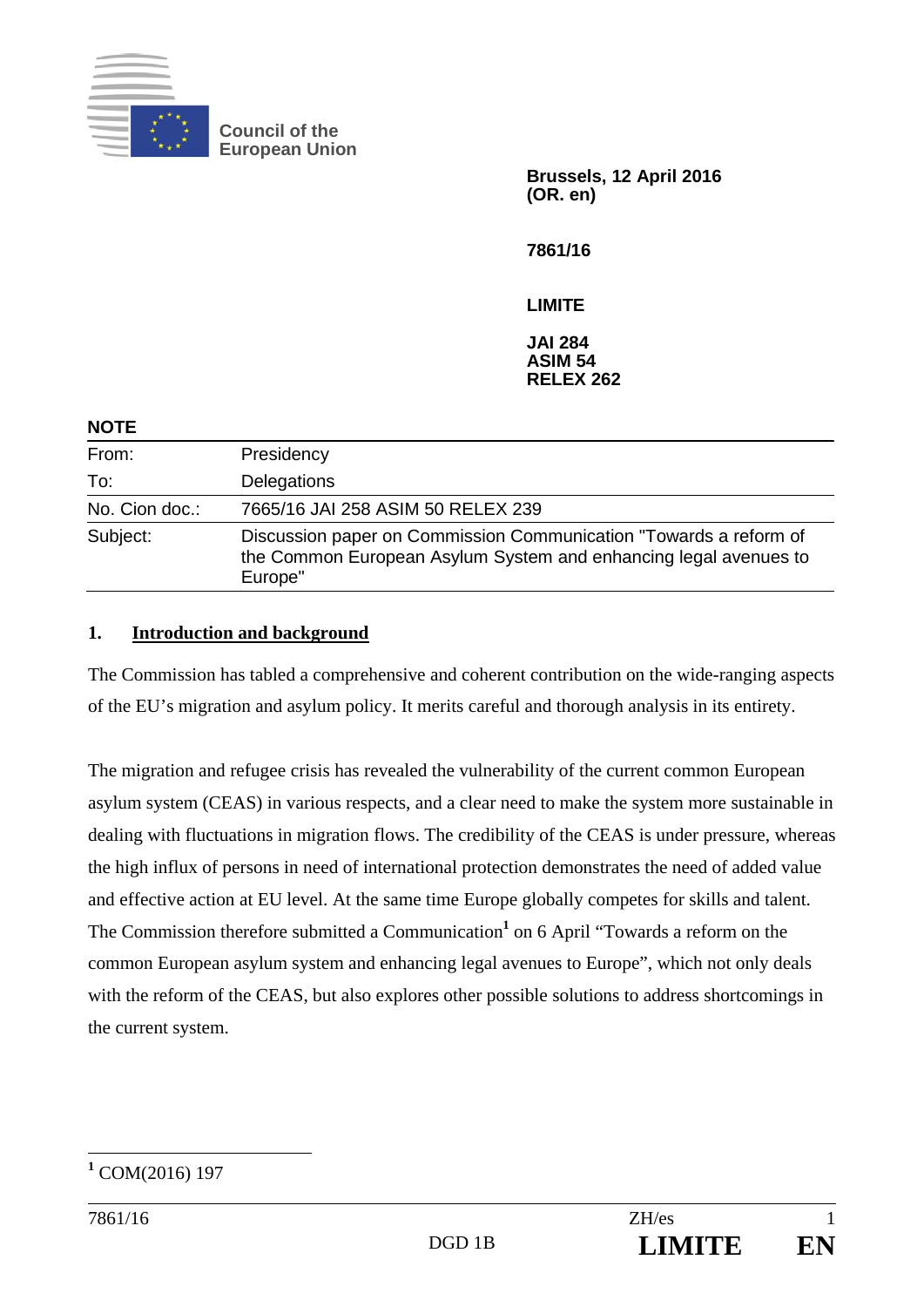

**Council of the European Union** 

> **Brussels, 12 April 2016 (OR. en)**

**7861/16** 

**LIMITE** 

**JAI 284 ASIM 54 RELEX 262** 

| <b>NOTE</b>    |                                                                                                                                                  |
|----------------|--------------------------------------------------------------------------------------------------------------------------------------------------|
| From:          | Presidency                                                                                                                                       |
| To:            | Delegations                                                                                                                                      |
| No. Cion doc.: | 7665/16 JAI 258 ASIM 50 RELEX 239                                                                                                                |
| Subject:       | Discussion paper on Commission Communication "Towards a reform of<br>the Common European Asylum System and enhancing legal avenues to<br>Europe" |

## **1. Introduction and background**

The Commission has tabled a comprehensive and coherent contribution on the wide-ranging aspects of the EU's migration and asylum policy. It merits careful and thorough analysis in its entirety.

The migration and refugee crisis has revealed the vulnerability of the current common European asylum system (CEAS) in various respects, and a clear need to make the system more sustainable in dealing with fluctuations in migration flows. The credibility of the CEAS is under pressure, whereas the high influx of persons in need of international protection demonstrates the need of added value and effective action at EU level. At the same time Europe globally competes for skills and talent. The Commission therefore submitted a Communication<sup>1</sup> on 6 April "Towards a reform on the common European asylum system and enhancing legal avenues to Europe", which not only deals with the reform of the CEAS, but also explores other possible solutions to address shortcomings in the current system.

 $\overline{a}$ **1** COM(2016) 197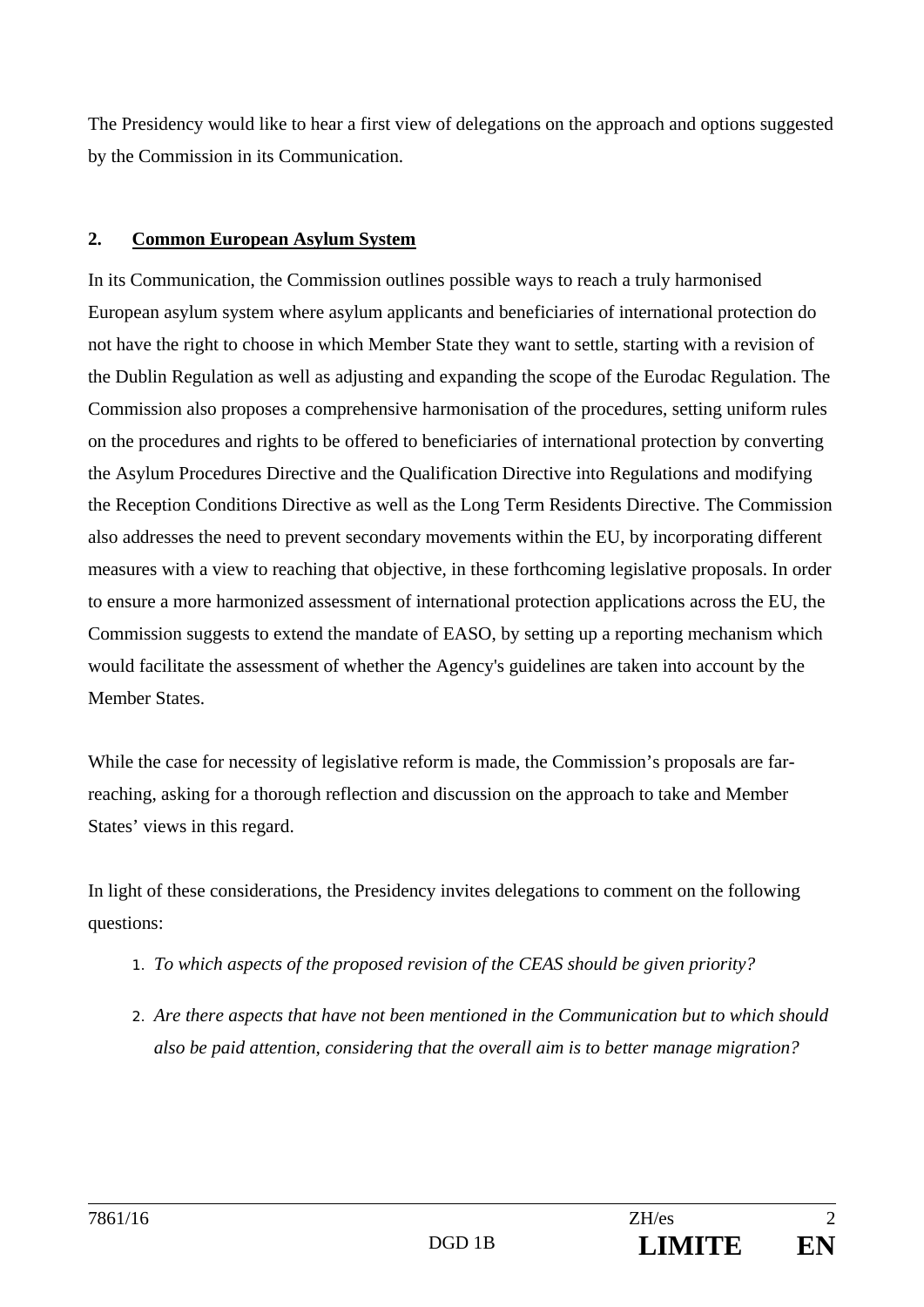The Presidency would like to hear a first view of delegations on the approach and options suggested by the Commission in its Communication.

## **2. Common European Asylum System**

In its Communication, the Commission outlines possible ways to reach a truly harmonised European asylum system where asylum applicants and beneficiaries of international protection do not have the right to choose in which Member State they want to settle, starting with a revision of the Dublin Regulation as well as adjusting and expanding the scope of the Eurodac Regulation. The Commission also proposes a comprehensive harmonisation of the procedures, setting uniform rules on the procedures and rights to be offered to beneficiaries of international protection by converting the Asylum Procedures Directive and the Qualification Directive into Regulations and modifying the Reception Conditions Directive as well as the Long Term Residents Directive. The Commission also addresses the need to prevent secondary movements within the EU, by incorporating different measures with a view to reaching that objective, in these forthcoming legislative proposals. In order to ensure a more harmonized assessment of international protection applications across the EU, the Commission suggests to extend the mandate of EASO, by setting up a reporting mechanism which would facilitate the assessment of whether the Agency's guidelines are taken into account by the Member States.

While the case for necessity of legislative reform is made, the Commission's proposals are farreaching, asking for a thorough reflection and discussion on the approach to take and Member States' views in this regard.

In light of these considerations, the Presidency invites delegations to comment on the following questions:

- *1. To which aspects of the proposed revision of the CEAS should be given priority?*
- *2. Are there aspects that have not been mentioned in the Communication but to which should also be paid attention, considering that the overall aim is to better manage migration?*